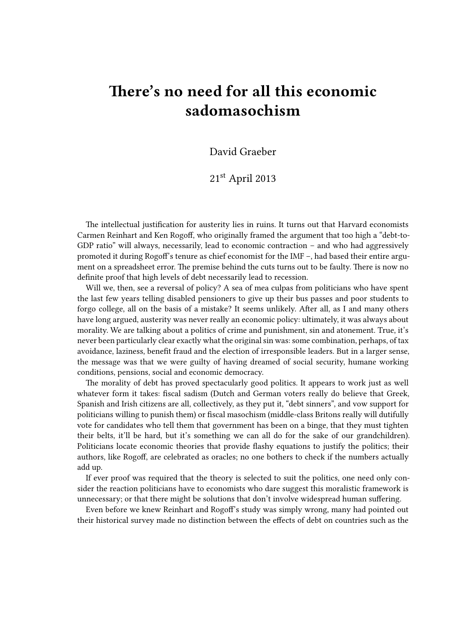## **There's no need for all this economic sadomasochism**

## David Graeber

## 21st April 2013

The intellectual justification for austerity lies in ruins. It turns out that Harvard economists Carmen Reinhart and Ken Rogoff, who originally framed the argument that too high a "debt-to-GDP ratio" will always, necessarily, lead to economic contraction – and who had aggressively promoted it during Rogoff's tenure as chief economist for the IMF –, had based their entire argument on a spreadsheet error. The premise behind the cuts turns out to be faulty. There is now no definite proof that high levels of debt necessarily lead to recession.

Will we, then, see a reversal of policy? A sea of mea culpas from politicians who have spent the last few years telling disabled pensioners to give up their bus passes and poor students to forgo college, all on the basis of a mistake? It seems unlikely. After all, as I and many others have long argued, austerity was never really an economic policy: ultimately, it was always about morality. We are talking about a politics of crime and punishment, sin and atonement. True, it's never been particularly clear exactly what the original sin was: some combination, perhaps, of tax avoidance, laziness, benefit fraud and the election of irresponsible leaders. But in a larger sense, the message was that we were guilty of having dreamed of social security, humane working conditions, pensions, social and economic democracy.

The morality of debt has proved spectacularly good politics. It appears to work just as well whatever form it takes: fiscal sadism (Dutch and German voters really do believe that Greek, Spanish and Irish citizens are all, collectively, as they put it, "debt sinners", and vow support for politicians willing to punish them) or fiscal masochism (middle-class Britons really will dutifully vote for candidates who tell them that government has been on a binge, that they must tighten their belts, it'll be hard, but it's something we can all do for the sake of our grandchildren). Politicians locate economic theories that provide flashy equations to justify the politics; their authors, like Rogoff, are celebrated as oracles; no one bothers to check if the numbers actually add up.

If ever proof was required that the theory is selected to suit the politics, one need only consider the reaction politicians have to economists who dare suggest this moralistic framework is unnecessary; or that there might be solutions that don't involve widespread human suffering.

Even before we knew Reinhart and Rogoff's study was simply wrong, many had pointed out their historical survey made no distinction between the effects of debt on countries such as the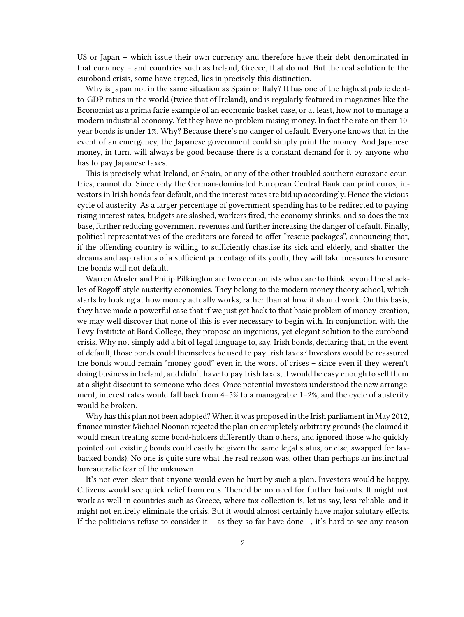US or Japan – which issue their own currency and therefore have their debt denominated in that currency – and countries such as Ireland, Greece, that do not. But the real solution to the eurobond crisis, some have argued, lies in precisely this distinction.

Why is Japan not in the same situation as Spain or Italy? It has one of the highest public debtto-GDP ratios in the world (twice that of Ireland), and is regularly featured in magazines like the Economist as a prima facie example of an economic basket case, or at least, how not to manage a modern industrial economy. Yet they have no problem raising money. In fact the rate on their 10 year bonds is under 1%. Why? Because there's no danger of default. Everyone knows that in the event of an emergency, the Japanese government could simply print the money. And Japanese money, in turn, will always be good because there is a constant demand for it by anyone who has to pay Japanese taxes.

This is precisely what Ireland, or Spain, or any of the other troubled southern eurozone countries, cannot do. Since only the German-dominated European Central Bank can print euros, investors in Irish bonds fear default, and the interest rates are bid up accordingly. Hence the vicious cycle of austerity. As a larger percentage of government spending has to be redirected to paying rising interest rates, budgets are slashed, workers fired, the economy shrinks, and so does the tax base, further reducing government revenues and further increasing the danger of default. Finally, political representatives of the creditors are forced to offer "rescue packages", announcing that, if the offending country is willing to sufficiently chastise its sick and elderly, and shatter the dreams and aspirations of a sufficient percentage of its youth, they will take measures to ensure the bonds will not default.

Warren Mosler and Philip Pilkington are two economists who dare to think beyond the shackles of Rogoff-style austerity economics. They belong to the modern money theory school, which starts by looking at how money actually works, rather than at how it should work. On this basis, they have made a powerful case that if we just get back to that basic problem of money-creation, we may well discover that none of this is ever necessary to begin with. In conjunction with the Levy Institute at Bard College, they propose an ingenious, yet elegant solution to the eurobond crisis. Why not simply add a bit of legal language to, say, Irish bonds, declaring that, in the event of default, those bonds could themselves be used to pay Irish taxes? Investors would be reassured the bonds would remain "money good" even in the worst of crises – since even if they weren't doing business in Ireland, and didn't have to pay Irish taxes, it would be easy enough to sell them at a slight discount to someone who does. Once potential investors understood the new arrangement, interest rates would fall back from 4–5% to a manageable 1–2%, and the cycle of austerity would be broken.

Why has this plan not been adopted? When it was proposed in the Irish parliament in May 2012, finance minster Michael Noonan rejected the plan on completely arbitrary grounds (he claimed it would mean treating some bond-holders differently than others, and ignored those who quickly pointed out existing bonds could easily be given the same legal status, or else, swapped for taxbacked bonds). No one is quite sure what the real reason was, other than perhaps an instinctual bureaucratic fear of the unknown.

It's not even clear that anyone would even be hurt by such a plan. Investors would be happy. Citizens would see quick relief from cuts. There'd be no need for further bailouts. It might not work as well in countries such as Greece, where tax collection is, let us say, less reliable, and it might not entirely eliminate the crisis. But it would almost certainly have major salutary effects. If the politicians refuse to consider it – as they so far have done –, it's hard to see any reason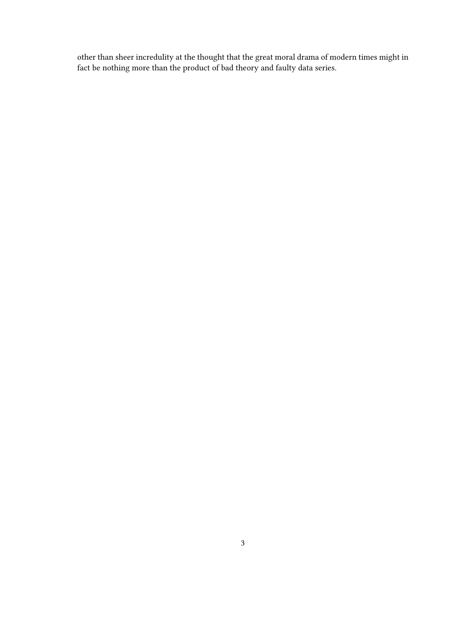other than sheer incredulity at the thought that the great moral drama of modern times might in fact be nothing more than the product of bad theory and faulty data series.